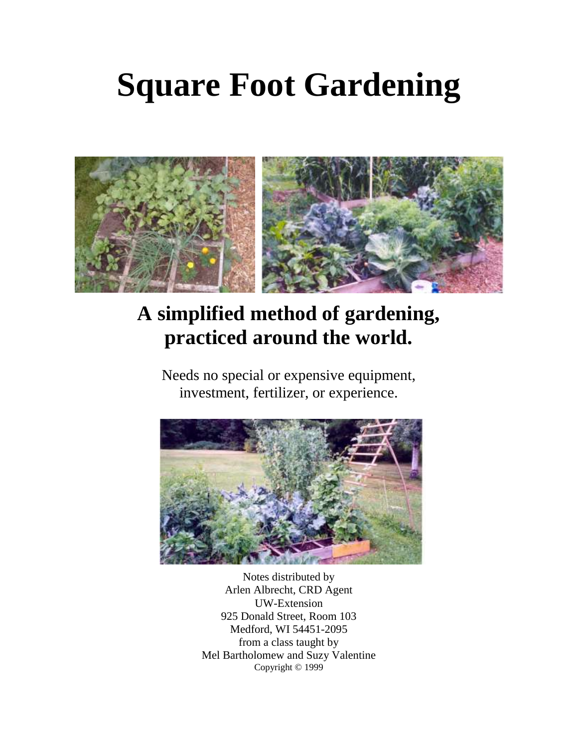# **Square Foot Gardening**



# **A simplified method of gardening, practiced around the world.**

Needs no special or expensive equipment, investment, fertilizer, or experience.



Notes distributed by Arlen Albrecht, CRD Agent UW-Extension 925 Donald Street, Room 103 Medford, WI 54451-2095 from a class taught by Mel Bartholomew and Suzy Valentine Copyright © 1999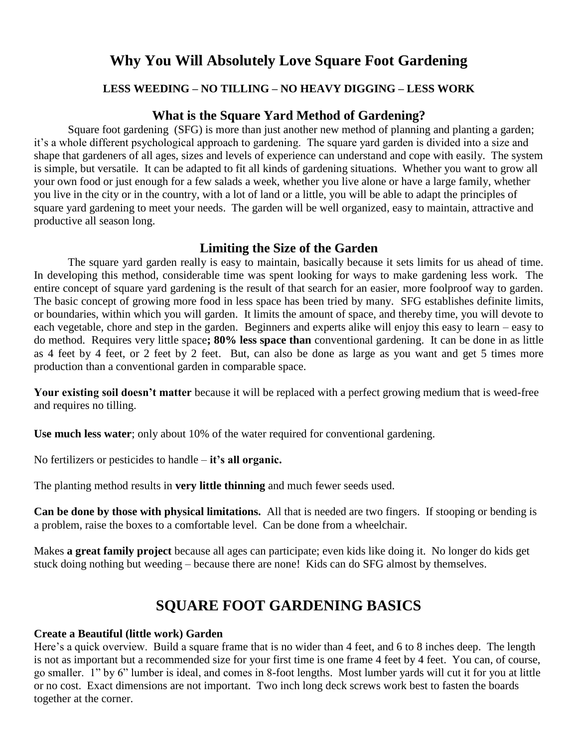### **Why You Will Absolutely Love Square Foot Gardening**

#### **LESS WEEDING – NO TILLING – NO HEAVY DIGGING – LESS WORK**

#### **What is the Square Yard Method of Gardening?**

Square foot gardening (SFG) is more than just another new method of planning and planting a garden; it's a whole different psychological approach to gardening. The square yard garden is divided into a size and shape that gardeners of all ages, sizes and levels of experience can understand and cope with easily. The system is simple, but versatile. It can be adapted to fit all kinds of gardening situations. Whether you want to grow all your own food or just enough for a few salads a week, whether you live alone or have a large family, whether you live in the city or in the country, with a lot of land or a little, you will be able to adapt the principles of square yard gardening to meet your needs. The garden will be well organized, easy to maintain, attractive and productive all season long.

#### **Limiting the Size of the Garden**

The square yard garden really is easy to maintain, basically because it sets limits for us ahead of time. In developing this method, considerable time was spent looking for ways to make gardening less work. The entire concept of square yard gardening is the result of that search for an easier, more foolproof way to garden. The basic concept of growing more food in less space has been tried by many. SFG establishes definite limits, or boundaries, within which you will garden. It limits the amount of space, and thereby time, you will devote to each vegetable, chore and step in the garden. Beginners and experts alike will enjoy this easy to learn – easy to do method. Requires very little space**; 80% less space than** conventional gardening. It can be done in as little as 4 feet by 4 feet, or 2 feet by 2 feet. But, can also be done as large as you want and get 5 times more production than a conventional garden in comparable space.

**Your existing soil doesn't matter** because it will be replaced with a perfect growing medium that is weed-free and requires no tilling.

**Use much less water**; only about 10% of the water required for conventional gardening.

No fertilizers or pesticides to handle – **it's all organic.**

The planting method results in **very little thinning** and much fewer seeds used.

**Can be done by those with physical limitations.** All that is needed are two fingers. If stooping or bending is a problem, raise the boxes to a comfortable level. Can be done from a wheelchair.

Makes **a great family project** because all ages can participate; even kids like doing it. No longer do kids get stuck doing nothing but weeding – because there are none! Kids can do SFG almost by themselves.

# **SQUARE FOOT GARDENING BASICS**

#### **Create a Beautiful (little work) Garden**

Here's a quick overview. Build a square frame that is no wider than 4 feet, and 6 to 8 inches deep. The length is not as important but a recommended size for your first time is one frame 4 feet by 4 feet. You can, of course, go smaller. 1" by 6" lumber is ideal, and comes in 8-foot lengths. Most lumber yards will cut it for you at little or no cost. Exact dimensions are not important. Two inch long deck screws work best to fasten the boards together at the corner.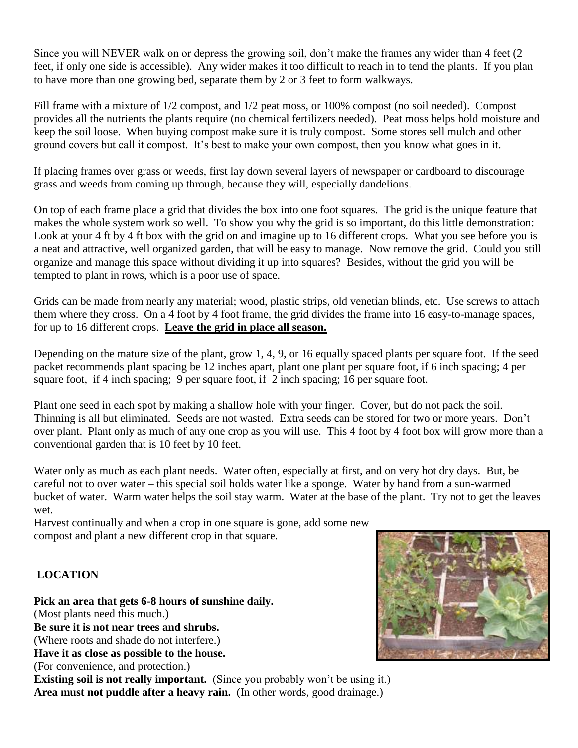Since you will NEVER walk on or depress the growing soil, don't make the frames any wider than 4 feet (2 feet, if only one side is accessible). Any wider makes it too difficult to reach in to tend the plants. If you plan to have more than one growing bed, separate them by 2 or 3 feet to form walkways.

Fill frame with a mixture of 1/2 compost, and 1/2 peat moss, or 100% compost (no soil needed). Compost provides all the nutrients the plants require (no chemical fertilizers needed). Peat moss helps hold moisture and keep the soil loose. When buying compost make sure it is truly compost. Some stores sell mulch and other ground covers but call it compost. It's best to make your own compost, then you know what goes in it.

If placing frames over grass or weeds, first lay down several layers of newspaper or cardboard to discourage grass and weeds from coming up through, because they will, especially dandelions.

On top of each frame place a grid that divides the box into one foot squares. The grid is the unique feature that makes the whole system work so well. To show you why the grid is so important, do this little demonstration: Look at your 4 ft by 4 ft box with the grid on and imagine up to 16 different crops. What you see before you is a neat and attractive, well organized garden, that will be easy to manage. Now remove the grid. Could you still organize and manage this space without dividing it up into squares? Besides, without the grid you will be tempted to plant in rows, which is a poor use of space.

Grids can be made from nearly any material; wood, plastic strips, old venetian blinds, etc. Use screws to attach them where they cross. On a 4 foot by 4 foot frame, the grid divides the frame into 16 easy-to-manage spaces, for up to 16 different crops. **Leave the grid in place all season.**

Depending on the mature size of the plant, grow 1, 4, 9, or 16 equally spaced plants per square foot. If the seed packet recommends plant spacing be 12 inches apart, plant one plant per square foot, if 6 inch spacing; 4 per square foot, if 4 inch spacing; 9 per square foot, if 2 inch spacing; 16 per square foot.

Plant one seed in each spot by making a shallow hole with your finger. Cover, but do not pack the soil. Thinning is all but eliminated. Seeds are not wasted. Extra seeds can be stored for two or more years. Don't over plant. Plant only as much of any one crop as you will use. This 4 foot by 4 foot box will grow more than a conventional garden that is 10 feet by 10 feet.

Water only as much as each plant needs. Water often, especially at first, and on very hot dry days. But, be careful not to over water – this special soil holds water like a sponge. Water by hand from a sun-warmed bucket of water. Warm water helps the soil stay warm. Water at the base of the plant. Try not to get the leaves wet.

Harvest continually and when a crop in one square is gone, add some new compost and plant a new different crop in that square.

#### **LOCATION**

#### **Pick an area that gets 6-8 hours of sunshine daily.**

(Most plants need this much.)

**Be sure it is not near trees and shrubs.**

(Where roots and shade do not interfere.)

**Have it as close as possible to the house.**

(For convenience, and protection.)

**Existing soil is not really important.** (Since you probably won't be using it.) **Area must not puddle after a heavy rain.** (In other words, good drainage.)

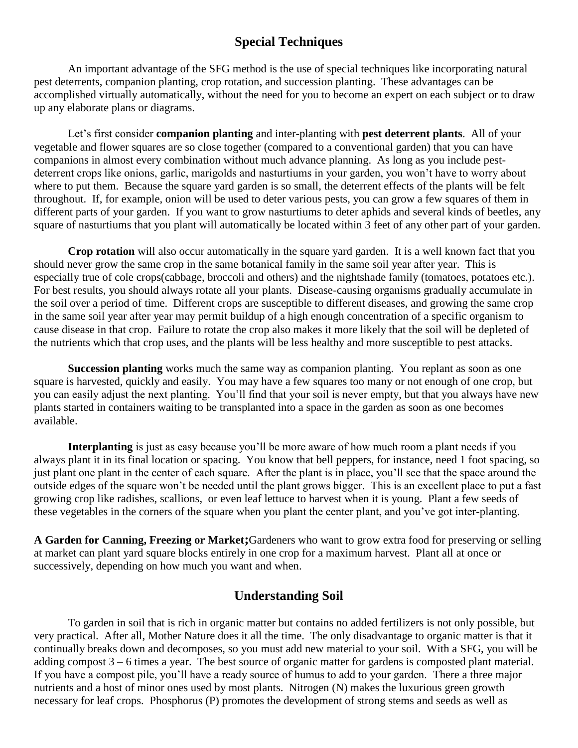#### **Special Techniques**

An important advantage of the SFG method is the use of special techniques like incorporating natural pest deterrents, companion planting, crop rotation, and succession planting. These advantages can be accomplished virtually automatically, without the need for you to become an expert on each subject or to draw up any elaborate plans or diagrams.

Let's first consider **companion planting** and inter-planting with **pest deterrent plants**. All of your vegetable and flower squares are so close together (compared to a conventional garden) that you can have companions in almost every combination without much advance planning. As long as you include pestdeterrent crops like onions, garlic, marigolds and nasturtiums in your garden, you won't have to worry about where to put them. Because the square yard garden is so small, the deterrent effects of the plants will be felt throughout. If, for example, onion will be used to deter various pests, you can grow a few squares of them in different parts of your garden. If you want to grow nasturtiums to deter aphids and several kinds of beetles, any square of nasturtiums that you plant will automatically be located within 3 feet of any other part of your garden.

**Crop rotation** will also occur automatically in the square yard garden. It is a well known fact that you should never grow the same crop in the same botanical family in the same soil year after year. This is especially true of cole crops(cabbage, broccoli and others) and the nightshade family (tomatoes, potatoes etc.). For best results, you should always rotate all your plants. Disease-causing organisms gradually accumulate in the soil over a period of time. Different crops are susceptible to different diseases, and growing the same crop in the same soil year after year may permit buildup of a high enough concentration of a specific organism to cause disease in that crop. Failure to rotate the crop also makes it more likely that the soil will be depleted of the nutrients which that crop uses, and the plants will be less healthy and more susceptible to pest attacks.

**Succession planting** works much the same way as companion planting. You replant as soon as one square is harvested, quickly and easily. You may have a few squares too many or not enough of one crop, but you can easily adjust the next planting. You'll find that your soil is never empty, but that you always have new plants started in containers waiting to be transplanted into a space in the garden as soon as one becomes available.

**Interplanting** is just as easy because you'll be more aware of how much room a plant needs if you always plant it in its final location or spacing. You know that bell peppers, for instance, need 1 foot spacing, so just plant one plant in the center of each square. After the plant is in place, you'll see that the space around the outside edges of the square won't be needed until the plant grows bigger. This is an excellent place to put a fast growing crop like radishes, scallions, or even leaf lettuce to harvest when it is young. Plant a few seeds of these vegetables in the corners of the square when you plant the center plant, and you've got inter-planting.

**A Garden for Canning, Freezing or Market;**Gardeners who want to grow extra food for preserving or selling at market can plant yard square blocks entirely in one crop for a maximum harvest. Plant all at once or successively, depending on how much you want and when.

#### **Understanding Soil**

To garden in soil that is rich in organic matter but contains no added fertilizers is not only possible, but very practical. After all, Mother Nature does it all the time. The only disadvantage to organic matter is that it continually breaks down and decomposes, so you must add new material to your soil. With a SFG, you will be adding compost 3 – 6 times a year. The best source of organic matter for gardens is composted plant material. If you have a compost pile, you'll have a ready source of humus to add to your garden. There a three major nutrients and a host of minor ones used by most plants. Nitrogen (N) makes the luxurious green growth necessary for leaf crops. Phosphorus (P) promotes the development of strong stems and seeds as well as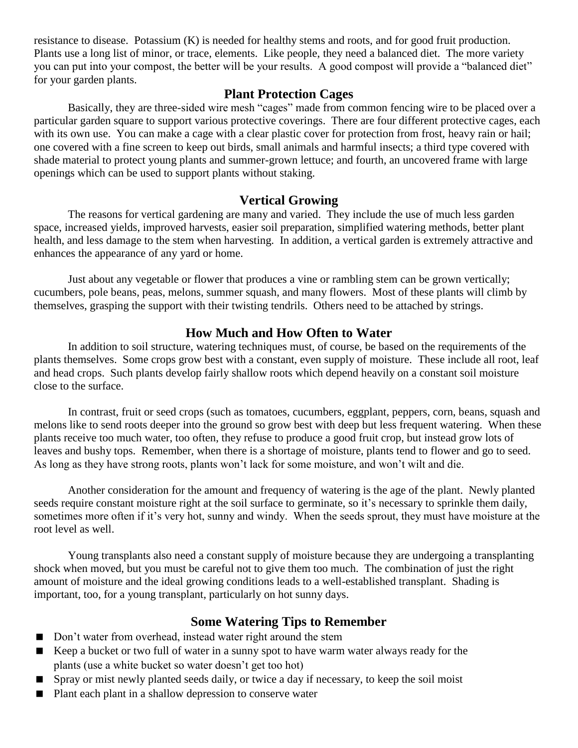resistance to disease. Potassium (K) is needed for healthy stems and roots, and for good fruit production. Plants use a long list of minor, or trace, elements. Like people, they need a balanced diet. The more variety you can put into your compost, the better will be your results. A good compost will provide a "balanced diet" for your garden plants.

#### **Plant Protection Cages**

Basically, they are three-sided wire mesh "cages" made from common fencing wire to be placed over a particular garden square to support various protective coverings. There are four different protective cages, each with its own use. You can make a cage with a clear plastic cover for protection from frost, heavy rain or hail; one covered with a fine screen to keep out birds, small animals and harmful insects; a third type covered with shade material to protect young plants and summer-grown lettuce; and fourth, an uncovered frame with large openings which can be used to support plants without staking.

#### **Vertical Growing**

The reasons for vertical gardening are many and varied. They include the use of much less garden space, increased yields, improved harvests, easier soil preparation, simplified watering methods, better plant health, and less damage to the stem when harvesting. In addition, a vertical garden is extremely attractive and enhances the appearance of any yard or home.

Just about any vegetable or flower that produces a vine or rambling stem can be grown vertically; cucumbers, pole beans, peas, melons, summer squash, and many flowers. Most of these plants will climb by themselves, grasping the support with their twisting tendrils. Others need to be attached by strings.

#### **How Much and How Often to Water**

In addition to soil structure, watering techniques must, of course, be based on the requirements of the plants themselves. Some crops grow best with a constant, even supply of moisture. These include all root, leaf and head crops. Such plants develop fairly shallow roots which depend heavily on a constant soil moisture close to the surface.

In contrast, fruit or seed crops (such as tomatoes, cucumbers, eggplant, peppers, corn, beans, squash and melons like to send roots deeper into the ground so grow best with deep but less frequent watering. When these plants receive too much water, too often, they refuse to produce a good fruit crop, but instead grow lots of leaves and bushy tops. Remember, when there is a shortage of moisture, plants tend to flower and go to seed. As long as they have strong roots, plants won't lack for some moisture, and won't wilt and die.

Another consideration for the amount and frequency of watering is the age of the plant. Newly planted seeds require constant moisture right at the soil surface to germinate, so it's necessary to sprinkle them daily, sometimes more often if it's very hot, sunny and windy. When the seeds sprout, they must have moisture at the root level as well.

Young transplants also need a constant supply of moisture because they are undergoing a transplanting shock when moved, but you must be careful not to give them too much. The combination of just the right amount of moisture and the ideal growing conditions leads to a well-established transplant. Shading is important, too, for a young transplant, particularly on hot sunny days.

#### **Some Watering Tips to Remember**

- Don't water from overhead, instead water right around the stem
- Keep a bucket or two full of water in a sunny spot to have warm water always ready for the plants (use a white bucket so water doesn't get too hot)
- Spray or mist newly planted seeds daily, or twice a day if necessary, to keep the soil moist
- Plant each plant in a shallow depression to conserve water